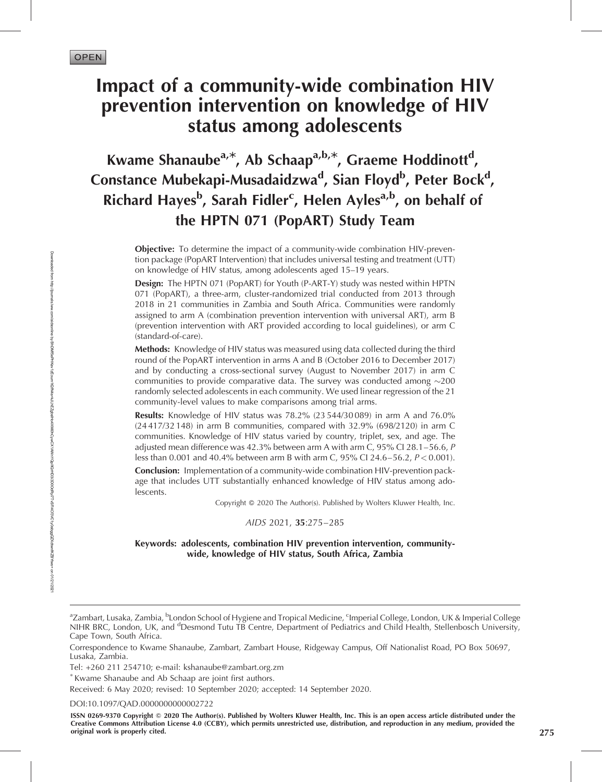Downloaded from

http://journals.lww.com/aidsonline

হ

BhDMf5ePHKav1zEoum1tQfN4a+kJLhEZgbsIHo4XMi0hCywCX1AWnYQp/IlQrHD3i3D0OdRyi7TvSFl4Cf3VC1y0abggQZXdtwnfKZBYtws=

on 01/21/2021

# Impact of a community-wide combination HIV prevention intervention on knowledge of HIV status among adolescents

Kwame Shanaube<sup>a,\*</sup>, Ab Schaap<sup>a,b,\*</sup>, Graeme Hoddinott<sup>d</sup>, Constance Mubekapi-Musadaidzwa<sup>d</sup>, Sian Floyd<sup>b</sup>, Peter Bock<sup>d</sup>, Richard Hayes<sup>b</sup>, Sarah Fidler<sup>c</sup>, Helen Ayles<sup>a,b</sup>, on behalf of the HPTN 071 (PopART) Study Team

> **Objective:** To determine the impact of a community-wide combination HIV-prevention package (PopART Intervention) that includes universal testing and treatment (UTT) on knowledge of HIV status, among adolescents aged 15–19 years.

> Design: The HPTN 071 (PopART) for Youth (P-ART-Y) study was nested within HPTN 071 (PopART), a three-arm, cluster-randomized trial conducted from 2013 through 2018 in 21 communities in Zambia and South Africa. Communities were randomly assigned to arm A (combination prevention intervention with universal ART), arm B (prevention intervention with ART provided according to local guidelines), or arm C (standard-of-care).

> Methods: Knowledge of HIV status was measured using data collected during the third round of the PopART intervention in arms A and B (October 2016 to December 2017) and by conducting a cross-sectional survey (August to November 2017) in arm C communities to provide comparative data. The survey was conducted among  $\sim$ 200 randomly selected adolescents in each community. We used linear regression of the 21 community-level values to make comparisons among trial arms.

> Results: Knowledge of HIV status was 78.2% (23 544/30 089) in arm A and 76.0% (24 417/32 148) in arm B communities, compared with 32.9% (698/2120) in arm C communities. Knowledge of HIV status varied by country, triplet, sex, and age. The adjusted mean difference was 42.3% between arm A with arm C,  $95\%$  CI 28.1–56.6, P less than 0.001 and 40.4% between arm B with arm C, 95% CI 24.6–56.2, P < 0.001).

> Conclusion: Implementation of a community-wide combination HIV-prevention package that includes UTT substantially enhanced knowledge of HIV status among adolescents.

> > Copyright © 2020 The Author(s). Published by Wolters Kluwer Health, Inc.

AIDS 2021, 35:275–285

#### Keywords: adolescents, combination HIV prevention intervention, communitywide, knowledge of HIV status, South Africa, Zambia

DOI[:10.1097/QAD.0000000000002722](http://dx.doi.org/10.1097/QAD.0000000000002722)

ISSN 0269-9370 Copyright © 2020 The Author(s). Published by Wolters Kluwer Health, Inc. This is an open access article distributed under the Creative Commons Attribution License 4.0 (CCBY), which permits unrestricted use, distribution, and reproduction in any medium, provided the original work is properly cited. 275

<sup>&</sup>lt;sup>a</sup>Zambart, Lusaka, Zambia, <sup>b</sup>London School of Hygiene and Tropical Medicine, <sup>c</sup>Imperial College, London, UK & Imperial College NIHR BRC, London, UK, and <sup>d</sup>Desmond Tutu TB Centre, Department of Pediatrics and Child Health, Stellenbosch University, Cape Town, South Africa.

Correspondence to Kwame Shanaube, Zambart, Zambart House, Ridgeway Campus, Off Nationalist Road, PO Box 50697, Lusaka, Zambia.

Tel: +260 211 254710; e-mail: [kshanaube@zambart.org.zm](mailto:kshanaube@zambart.org.zm)

Kwame Shanaube and Ab Schaap are joint first authors.

Received: 6 May 2020; revised: 10 September 2020; accepted: 14 September 2020.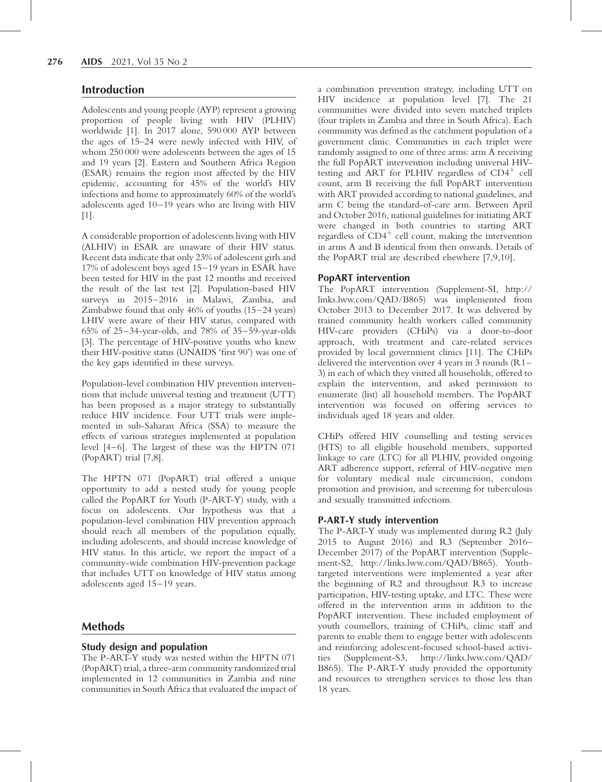# Introduction

Adolescents and young people (AYP) represent a growing proportion of people living with HIV (PLHIV) worldwide [1]. In 2017 alone, 590 000 AYP between the ages of 15–24 were newly infected with HIV, of whom 250 000 were adolescents between the ages of 15 and 19 years [2]. Eastern and Southern Africa Region (ESAR) remains the region most affected by the HIV epidemic, accounting for 45% of the world's HIV infections and home to approximately 60% of the world's adolescents aged 10–19 years who are living with HIV [1].

A considerable proportion of adolescents living with HIV (ALHIV) in ESAR are unaware of their HIV status. Recent data indicate that only 23% of adolescent girls and 17% of adolescent boys aged 15–19 years in ESAR have been tested for HIV in the past 12 months and received the result of the last test [2]. Population-based HIV surveys in 2015–2016 in Malawi, Zambia, and Zimbabwe found that only 46% of youths (15–24 years) LHIV were aware of their HIV status, compared with 65% of 25–34-year-olds, and 78% of 35–59-year-olds [3]. The percentage of HIV-positive youths who knew their HIV-positive status (UNAIDS 'first 90') was one of the key gaps identified in these surveys.

Population-level combination HIV prevention interventions that include universal testing and treatment (UTT) has been proposed as a major strategy to substantially reduce HIV incidence. Four UTT trials were implemented in sub-Saharan Africa (SSA) to measure the effects of various strategies implemented at population level [4–6]. The largest of these was the HPTN 071 (PopART) trial [7,8].

The HPTN 071 (PopART) trial offered a unique opportunity to add a nested study for young people called the PopART for Youth (P-ART-Y) study, with a focus on adolescents. Our hypothesis was that a population-level combination HIV prevention approach should reach all members of the population equally, including adolescents, and should increase knowledge of HIV status. In this article, we report the impact of a community-wide combination HIV-prevention package that includes UTT on knowledge of HIV status among adolescents aged 15–19 years.

# Methods

# Study design and population

The P-ART-Y study was nested within the HPTN 071 (PopART) trial, a three-arm community randomized trial implemented in 12 communities in Zambia and nine communities in South Africa that evaluated the impact of a combination prevention strategy, including UTT on HIV incidence at population level [7]. The 21 communities were divided into seven matched triplets (four triplets in Zambia and three in South Africa). Each community was defined as the catchment population of a government clinic. Communities in each triplet were randomly assigned to one of three arms: arm A receiving the full PopART intervention including universal HIVtesting and ART for PLHIV regardless of  $CD4^+$  cell count, arm B receiving the full PopART intervention with ART provided according to national guidelines, and arm C being the standard-of-care arm. Between April and October 2016, national guidelines for initiating ART were changed in both countries to starting ART regardless of  $CD4^+$  cell count, making the intervention in arms A and B identical from then onwards. Details of the PopART trial are described elsewhere [7,9,10].

# PopART intervention

The PopART intervention (Supplement-SI, [http://](http://links.lww.com/QAD/B865) [links.lww.com/QAD/B865](http://links.lww.com/QAD/B865)) was implemented from October 2013 to December 2017. It was delivered by trained community health workers called community HIV-care providers (CHiPs) via a door-to-door approach, with treatment and care-related services provided by local government clinics [11]. The CHiPs delivered the intervention over 4 years in 3 rounds (R1– 3) in each of which they visited all households, offered to explain the intervention, and asked permission to enumerate (list) all household members. The PopART intervention was focused on offering services to individuals aged 18 years and older.

CHiPs offered HIV counselling and testing services (HTS) to all eligible household members, supported linkage to care (LTC) for all PLHIV, provided ongoing ART adherence support, referral of HIV-negative men for voluntary medical male circumcision, condom promotion and provision, and screening for tuberculosis and sexually transmitted infections.

# P-ART-Y study intervention

The P-ART-Y study was implemented during R2 (July 2015 to August 2016) and R3 (September 2016– December 2017) of the PopART intervention (Supplement-S2, [http://links.lww.com/QAD/B865\)](http://links.lww.com/QAD/B865). Youthtargeted interventions were implemented a year after the beginning of R2 and throughout R3 to increase participation, HIV-testing uptake, and LTC. These were offered in the intervention arms in addition to the PopART intervention. These included employment of youth counsellors, training of CHiPs, clinic staff and parents to enable them to engage better with adolescents and reinforcing adolescent-focused school-based activities (Supplement-S3, [http://links.lww.com/QAD/](http://links.lww.com/QAD/B865) [B865\)](http://links.lww.com/QAD/B865). The P-ART-Y study provided the opportunity and resources to strengthen services to those less than 18 years.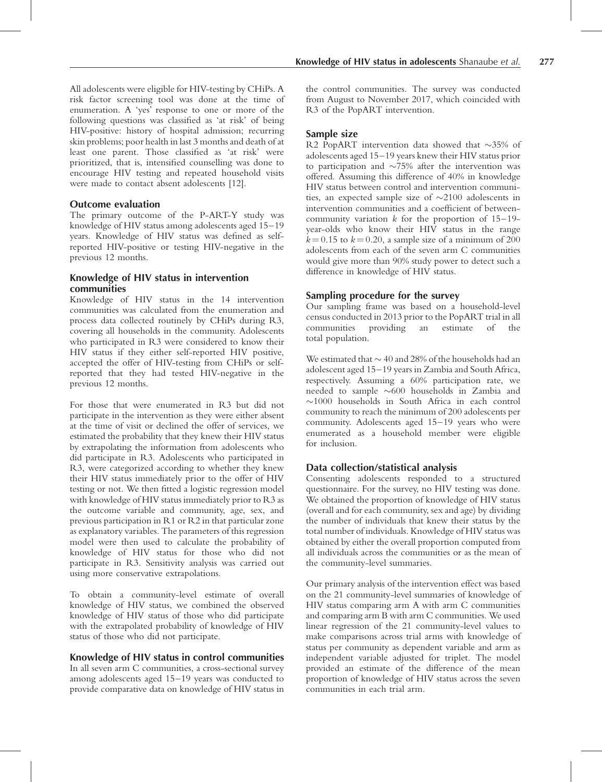All adolescents were eligible for HIV-testing by CHiPs. A risk factor screening tool was done at the time of enumeration. A 'yes' response to one or more of the following questions was classified as 'at risk' of being HIV-positive: history of hospital admission; recurring skin problems; poor health in last 3 months and death of at least one parent. Those classified as 'at risk' were prioritized, that is, intensified counselling was done to encourage HIV testing and repeated household visits were made to contact absent adolescents [12].

## Outcome evaluation

The primary outcome of the P-ART-Y study was knowledge of HIV status among adolescents aged 15–19 years. Knowledge of HIV status was defined as selfreported HIV-positive or testing HIV-negative in the previous 12 months.

## Knowledge of HIV status in intervention communities

Knowledge of HIV status in the 14 intervention communities was calculated from the enumeration and process data collected routinely by CHiPs during R3, covering all households in the community. Adolescents who participated in R3 were considered to know their HIV status if they either self-reported HIV positive, accepted the offer of HIV-testing from CHiPs or selfreported that they had tested HIV-negative in the previous 12 months.

For those that were enumerated in R3 but did not participate in the intervention as they were either absent at the time of visit or declined the offer of services, we estimated the probability that they knew their HIV status by extrapolating the information from adolescents who did participate in R3. Adolescents who participated in R3, were categorized according to whether they knew their HIV status immediately prior to the offer of HIV testing or not. We then fitted a logistic regression model with knowledge of HIV status immediately prior to R3 as the outcome variable and community, age, sex, and previous participation in R1 or R2 in that particular zone as explanatory variables. The parameters of this regression model were then used to calculate the probability of knowledge of HIV status for those who did not participate in R3. Sensitivity analysis was carried out using more conservative extrapolations.

To obtain a community-level estimate of overall knowledge of HIV status, we combined the observed knowledge of HIV status of those who did participate with the extrapolated probability of knowledge of HIV status of those who did not participate.

# Knowledge of HIV status in control communities

In all seven arm C communities, a cross-sectional survey among adolescents aged 15–19 years was conducted to provide comparative data on knowledge of HIV status in

# Sample size

R2 PopART intervention data showed that  $\sim$ 35% of adolescents aged 15–19 years knew their HIV status prior to participation and  $\sim$ 75% after the intervention was offered. Assuming this difference of 40% in knowledge HIV status between control and intervention communities, an expected sample size of  $\sim$ 2100 adolescents in intervention communities and a coefficient of betweencommunity variation  $k$  for the proportion of  $15-19$ year-olds who know their HIV status in the range  $k = 0.15$  to  $k = 0.20$ , a sample size of a minimum of 200 adolescents from each of the seven arm C communities would give more than 90% study power to detect such a difference in knowledge of HIV status.

# Sampling procedure for the survey

Our sampling frame was based on a household-level census conducted in 2013 prior to the PopART trial in all communities providing an estimate of the total population.

We estimated that  $\sim$  40 and 28% of the households had an adolescent aged 15–19 years in Zambia and South Africa, respectively. Assuming a 60% participation rate, we needed to sample  $\sim$ 600 households in Zambia and  $\sim$ 1000 households in South Africa in each control community to reach the minimum of 200 adolescents per community. Adolescents aged 15–19 years who were enumerated as a household member were eligible for inclusion.

# Data collection/statistical analysis

Consenting adolescents responded to a structured questionnaire. For the survey, no HIV testing was done. We obtained the proportion of knowledge of HIV status (overall and for each community, sex and age) by dividing the number of individuals that knew their status by the total number of individuals. Knowledge of HIV status was obtained by either the overall proportion computed from all individuals across the communities or as the mean of the community-level summaries.

Our primary analysis of the intervention effect was based on the 21 community-level summaries of knowledge of HIV status comparing arm A with arm C communities and comparing arm B with arm C communities. We used linear regression of the 21 community-level values to make comparisons across trial arms with knowledge of status per community as dependent variable and arm as independent variable adjusted for triplet. The model provided an estimate of the difference of the mean proportion of knowledge of HIV status across the seven communities in each trial arm.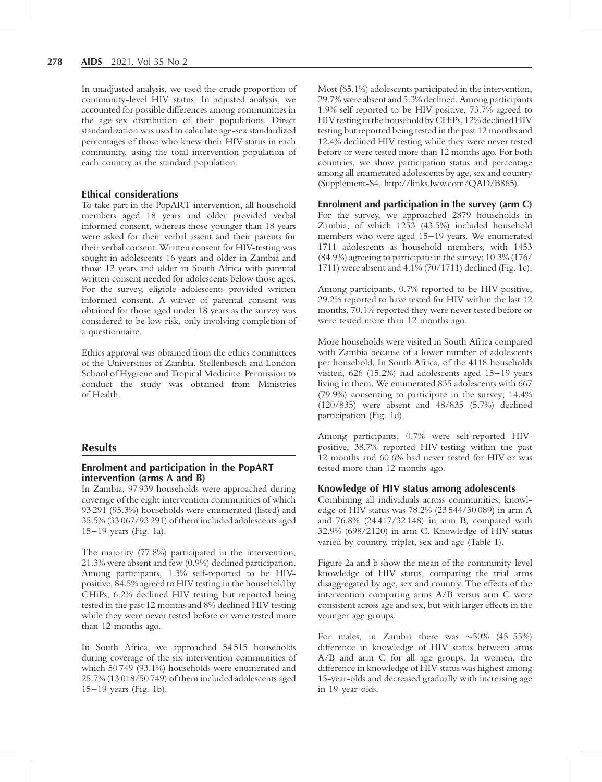In unadjusted analysis, we used the crude proportion of community-level HIV status. In adjusted analysis, we accounted for possible differences among communities in the age-sex distribution of their populations. Direct standardization was used to calculate age-sex standardized percentages of those who knew their HIV status in each community, using the total intervention population of each country as the standard population.

#### Ethical considerations

To take part in the PopART intervention, all household members aged 18 years and older provided verbal informed consent, whereas those younger than 18 years were asked for their verbal assent and their parents for their verbal consent. Written consent for HIV-testing was sought in adolescents 16 years and older in Zambia and those 12 years and older in South Africa with parental written consent needed for adolescents below those ages. For the survey, eligible adolescents provided written informed consent. A waiver of parental consent was obtained for those aged under 18 years as the survey was considered to be low risk, only involving completion of a questionnaire.

Ethics approval was obtained from the ethics committees of the Universities of Zambia, Stellenbosch and London School of Hygiene and Tropical Medicine. Permission to conduct the study was obtained from Ministries of Health.

# **Results**

## Enrolment and participation in the PopART intervention (arms A and B)

In Zambia, 97 939 households were approached during coverage of the eight intervention communities of which 93 291 (95.3%) households were enumerated (listed) and 35.5% (33 067/93 291) of them included adolescents aged 15–19 years (Fig. 1a).

The majority (77.8%) participated in the intervention, 21.3% were absent and few (0.9%) declined participation. Among participants, 1.3% self-reported to be HIVpositive, 84.5% agreed to HIV testing in the household by CHiPs, 6.2% declined HIV testing but reported being tested in the past 12 months and 8% declined HIV testing while they were never tested before or were tested more than 12 months ago.

In South Africa, we approached 54 515 households during coverage of the six intervention communities of which 50 749 (93.1%) households were enumerated and 25.7% (13 018/50 749) of them included adolescents aged 15–19 years (Fig. 1b).

Most (65.1%) adolescents participated in the intervention, 29.7% were absent and 5.3% declined. Among participants 1.9% self-reported to be HIV-positive, 73.7% agreed to HIV testing in the household by CHiPs, 12% declined HIV testing but reported being tested in the past 12 months and 12.4% declined HIV testing while they were never tested before or were tested more than 12 months ago. For both countries, we show participation status and percentage among all enumerated adolescents by age, sex and country (Supplement-S4, [http://links.lww.com/QAD/B865\)](http://links.lww.com/QAD/B865).

#### Enrolment and participation in the survey (arm C)

For the survey, we approached 2879 households in Zambia, of which 1253 (43.5%) included household members who were aged 15–19 years. We enumerated 1711 adolescents as household members, with 1453 (84.9%) agreeing to participate in the survey; 10.3% (176/ 1711) were absent and 4.1% (70/1711) declined (Fig. 1c).

Among participants, 0.7% reported to be HIV-positive, 29.2% reported to have tested for HIV within the last 12 months, 70.1% reported they were never tested before or were tested more than 12 months ago.

More households were visited in South Africa compared with Zambia because of a lower number of adolescents per household. In South Africa, of the 4118 households visited, 626 (15.2%) had adolescents aged 15–19 years living in them. We enumerated 835 adolescents with 667 (79.9%) consenting to participate in the survey; 14.4% (120/835) were absent and 48/835 (5.7%) declined participation (Fig. 1d).

Among participants, 0.7% were self-reported HIVpositive, 38.7% reported HIV-testing within the past 12 months and 60.6% had never tested for HIV or was tested more than 12 months ago.

#### Knowledge of HIV status among adolescents

Combining all individuals across communities, knowledge of HIV status was 78.2% (23 544/30 089) in arm A and 76.8% (24 417/32 148) in arm B, compared with 32.9% (698/2120) in arm C. Knowledge of HIV status varied by country, triplet, sex and age (Table 1).

Figure 2a and b show the mean of the community-level knowledge of HIV status, comparing the trial arms disaggregated by age, sex and country. The effects of the intervention comparing arms A/B versus arm C were consistent across age and sex, but with larger effects in the younger age groups.

For males, in Zambia there was  $\sim$ 50% (45–55%) difference in knowledge of HIV status between arms A/B and arm C for all age groups. In women, the difference in knowledge of HIV status was highest among 15-year-olds and decreased gradually with increasing age in 19-year-olds.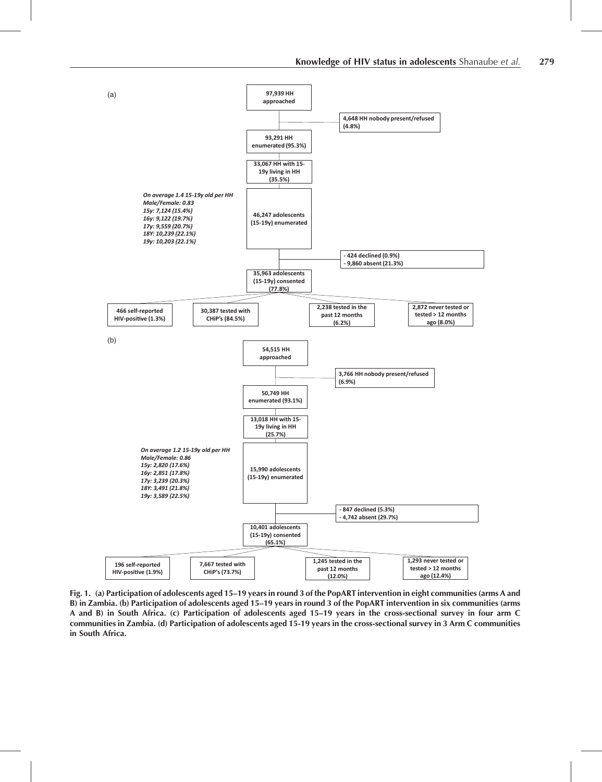

Fig. 1. (a) Participation of adolescents aged 15–19 years in round 3 of the PopART intervention in eight communities (arms A and B) in Zambia. (b) Participation of adolescents aged 15–19 years in round 3 of the PopART intervention in six communities (arms A and B) in South Africa. (c) Participation of adolescents aged 15–19 years in the cross-sectional survey in four arm C communities in Zambia. (d) Participation of adolescents aged 15-19 years in the cross-sectional survey in 3 Arm C communities in South Africa.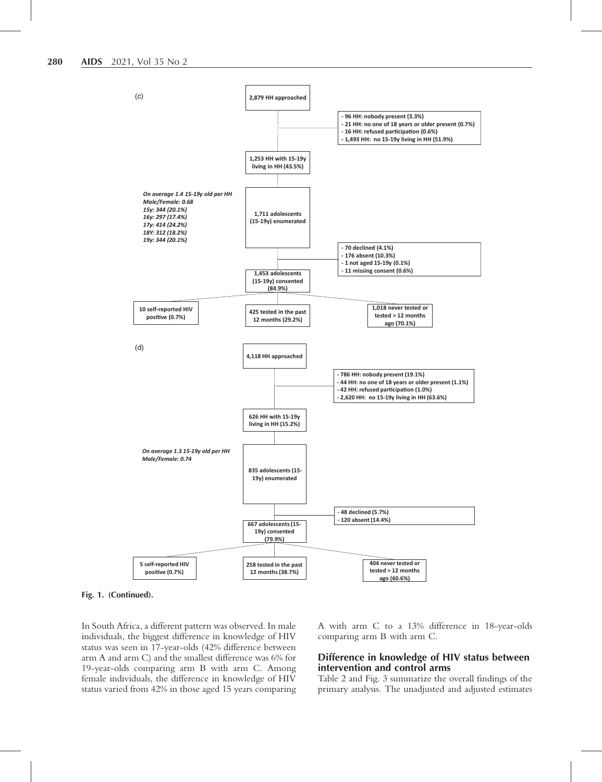

Fig. 1. (Continued).

In South Africa, a different pattern was observed. In male individuals, the biggest difference in knowledge of HIV status was seen in 17-year-olds (42% difference between arm A and arm C) and the smallest difference was 6% for 19-year-olds comparing arm B with arm C. Among female individuals, the difference in knowledge of HIV status varied from 42% in those aged 15 years comparing A with arm C to a 13% difference in 18-year-olds comparing arm B with arm C.

# Difference in knowledge of HIV status between intervention and control arms

Table 2 and Fig. 3 summarize the overall findings of the primary analysis. The unadjusted and adjusted estimates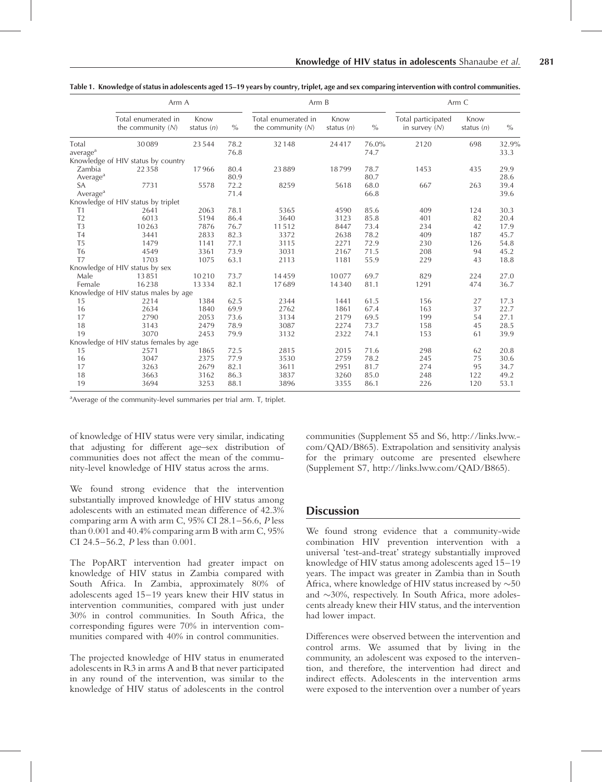|                      | Arm A                                      |                      |      | Arm B                                      |                      |               | Arm C                                 |                      |       |
|----------------------|--------------------------------------------|----------------------|------|--------------------------------------------|----------------------|---------------|---------------------------------------|----------------------|-------|
|                      | Total enumerated in<br>the community $(N)$ | Know<br>status $(n)$ | $\%$ | Total enumerated in<br>the community $(N)$ | Know<br>status $(n)$ | $\frac{0}{0}$ | Total participated<br>in survey $(N)$ | Know<br>status $(n)$ | $\%$  |
| Total                | 30089                                      | 23544                | 78.2 | 32148                                      | 24417                | 76.0%         | 2120                                  | 698                  | 32.9% |
| average <sup>a</sup> |                                            |                      | 76.8 |                                            |                      | 74.7          |                                       |                      | 33.3  |
|                      | Knowledge of HIV status by country         |                      |      |                                            |                      |               |                                       |                      |       |
| Zambia               | 22358                                      | 17966                | 80.4 | 23889                                      | 18799                | 78.7          | 1453                                  | 435                  | 29.9  |
| Average <sup>a</sup> |                                            |                      | 80.9 |                                            |                      | 80.7          |                                       |                      | 28.6  |
| SA                   | 7731                                       | 5578                 | 72.2 | 8259                                       | 5618                 | 68.0          | 667                                   | 263                  | 39.4  |
| Average <sup>a</sup> |                                            |                      | 71.4 |                                            |                      | 66.8          |                                       |                      | 39.6  |
|                      | Knowledge of HIV status by triplet         |                      |      |                                            |                      |               |                                       |                      |       |
| T1                   | 2641                                       | 2063                 | 78.1 | 5365                                       | 4590                 | 85.6          | 409                                   | 124                  | 30.3  |
| T <sub>2</sub>       | 6013                                       | 5194                 | 86.4 | 3640                                       | 3123                 | 85.8          | 401                                   | 82                   | 20.4  |
| T <sub>3</sub>       | 10263                                      | 7876                 | 76.7 | 11512                                      | 8447                 | 73.4          | 234                                   | 42                   | 17.9  |
| T <sub>4</sub>       | 3441                                       | 2833                 | 82.3 | 3372                                       | 2638                 | 78.2          | 409                                   | 187                  | 45.7  |
| T <sub>5</sub>       | 1479                                       | 1141                 | 77.1 | 3115                                       | 2271                 | 72.9          | 230                                   | 126                  | 54.8  |
| T <sub>6</sub>       | 4549                                       | 3361                 | 73.9 | 3031                                       | 2167                 | 71.5          | 208                                   | 94                   | 45.2  |
| T7                   | 1703                                       | 1075                 | 63.1 | 2113                                       | 1181                 | 55.9          | 229                                   | 43                   | 18.8  |
|                      | Knowledge of HIV status by sex             |                      |      |                                            |                      |               |                                       |                      |       |
| Male                 | 13851                                      | 10210                | 73.7 | 14459                                      | 10077                | 69.7          | 829                                   | 224                  | 27.0  |
| Female               | 16238                                      | 13334                | 82.1 | 17689                                      | 14340                | 81.1          | 1291                                  | 474                  | 36.7  |
|                      | Knowledge of HIV status males by age       |                      |      |                                            |                      |               |                                       |                      |       |
| 15                   | 2214                                       | 1384                 | 62.5 | 2344                                       | 1441                 | 61.5          | 156                                   | 27                   | 17.3  |
| 16                   | 2634                                       | 1840                 | 69.9 | 2762                                       | 1861                 | 67.4          | 163                                   | 37                   | 22.7  |
| 17                   | 2790                                       | 2053                 | 73.6 | 3134                                       | 2179                 | 69.5          | 199                                   | 54                   | 27.1  |
| 18                   | 3143                                       | 2479                 | 78.9 | 3087                                       | 2274                 | 73.7          | 158                                   | 45                   | 28.5  |
| 19                   | 3070                                       | 2453                 | 79.9 | 3132                                       | 2322                 | 74.1          | 153                                   | 61                   | 39.9  |
|                      | Knowledge of HIV status females by age     |                      |      |                                            |                      |               |                                       |                      |       |
| 15                   | 2571                                       | 1865                 | 72.5 | 2815                                       | 2015                 | 71.6          | 298                                   | 62                   | 20.8  |
| 16                   | 3047                                       | 2375                 | 77.9 | 3530                                       | 2759                 | 78.2          | 245                                   | 75                   | 30.6  |
| 17                   | 3263                                       | 2679                 | 82.1 | 3611                                       | 2951                 | 81.7          | 274                                   | 95                   | 34.7  |
| 18                   | 3663                                       | 3162                 | 86.3 | 3837                                       | 3260                 | 85.0          | 248                                   | 122                  | 49.2  |
| 19                   | 3694                                       | 3253                 | 88.1 | 3896                                       | 3355                 | 86.1          | 226                                   | 120                  | 53.1  |

Table 1. Knowledge of status in adolescents aged 15–19 years by country, triplet, age and sex comparing intervention with control communities.

<sup>a</sup> Average of the community-level summaries per trial arm. T, triplet.

of knowledge of HIV status were very similar, indicating that adjusting for different age–sex distribution of communities does not affect the mean of the community-level knowledge of HIV status across the arms.

We found strong evidence that the intervention substantially improved knowledge of HIV status among adolescents with an estimated mean difference of 42.3% comparing arm A with arm C, 95% CI 28.1–56.6, P less than 0.001 and 40.4% comparing arm B with arm C, 95% CI 24.5–56.2, P less than 0.001.

The PopART intervention had greater impact on knowledge of HIV status in Zambia compared with South Africa. In Zambia, approximately 80% of adolescents aged 15–19 years knew their HIV status in intervention communities, compared with just under 30% in control communities. In South Africa, the corresponding figures were 70% in intervention communities compared with 40% in control communities.

The projected knowledge of HIV status in enumerated adolescents in R3 in arms A and B that never participated in any round of the intervention, was similar to the knowledge of HIV status of adolescents in the control communities (Supplement S5 and S6, [http://links.lww.](http://links.lww.com/QAD/B865) [com/QAD/B865](http://links.lww.com/QAD/B865)). Extrapolation and sensitivity analysis for the primary outcome are presented elsewhere (Supplement S7, [http://links.lww.com/QAD/B865\)](http://links.lww.com/QAD/B865).

# **Discussion**

We found strong evidence that a community-wide combination HIV prevention intervention with a universal 'test-and-treat' strategy substantially improved knowledge of HIV status among adolescents aged 15–19 years. The impact was greater in Zambia than in South Africa, where knowledge of HIV status increased by  $\sim$  50 and  $\sim$ 30%, respectively. In South Africa, more adolescents already knew their HIV status, and the intervention had lower impact.

Differences were observed between the intervention and control arms. We assumed that by living in the community, an adolescent was exposed to the intervention, and therefore, the intervention had direct and indirect effects. Adolescents in the intervention arms were exposed to the intervention over a number of years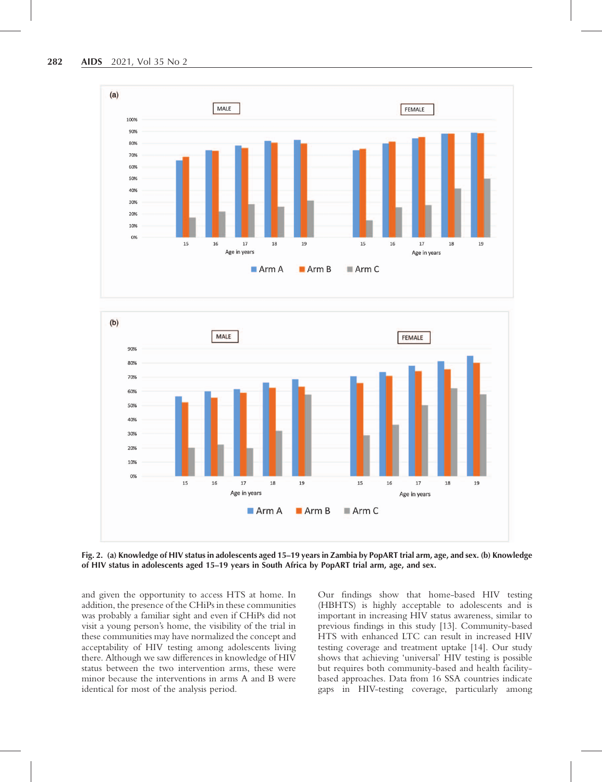



Fig. 2. (a) Knowledge of HIV status in adolescents aged 15–19 years in Zambia by PopART trial arm, age, and sex. (b) Knowledge of HIV status in adolescents aged 15–19 years in South Africa by PopART trial arm, age, and sex.

and given the opportunity to access HTS at home. In addition, the presence of the CHiPs in these communities was probably a familiar sight and even if CHiPs did not visit a young person's home, the visibility of the trial in these communities may have normalized the concept and acceptability of HIV testing among adolescents living there. Although we saw differences in knowledge of HIV status between the two intervention arms, these were minor because the interventions in arms A and B were identical for most of the analysis period.

Our findings show that home-based HIV testing (HBHTS) is highly acceptable to adolescents and is important in increasing HIV status awareness, similar to previous findings in this study [13]. Community-based HTS with enhanced LTC can result in increased HIV testing coverage and treatment uptake [14]. Our study shows that achieving 'universal' HIV testing is possible but requires both community-based and health facilitybased approaches. Data from 16 SSA countries indicate gaps in HIV-testing coverage, particularly among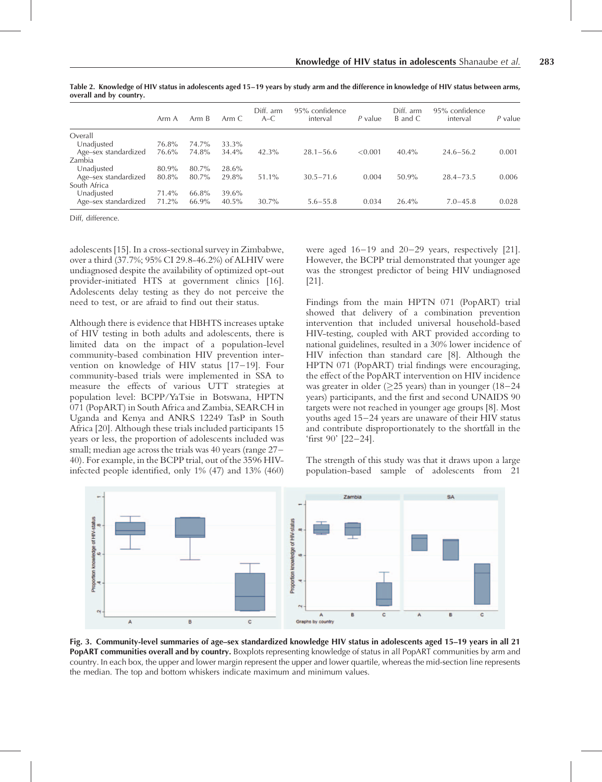|                      | Arm A | Arm B | Arm C | Diff. arm<br>$A-C$ | 95% confidence<br>interval | P value | Diff. arm<br>B and C | 95% confidence<br>interval | $P$ value |
|----------------------|-------|-------|-------|--------------------|----------------------------|---------|----------------------|----------------------------|-----------|
| Overall              |       |       |       |                    |                            |         |                      |                            |           |
| Unadjusted           | 76.8% | 74.7% | 33.3% |                    |                            |         |                      |                            |           |
| Age-sex standardized | 76.6% | 74.8% | 34.4% | 42.3%              | $28.1 - 56.6$              | < 0.001 | $40.4\%$             | $24.6 - 56.2$              | 0.001     |
| Zambia               |       |       |       |                    |                            |         |                      |                            |           |
| Unadjusted           | 80.9% | 80.7% | 28.6% |                    |                            |         |                      |                            |           |
| Age-sex standardized | 80.8% | 80.7% | 29.8% | $51.1\%$           | $30.5 - 71.6$              | 0.004   | 50.9%                | $28.4 - 73.5$              | 0.006     |
| South Africa         |       |       |       |                    |                            |         |                      |                            |           |
| Unadjusted           | 71.4% | 66.8% | 39.6% |                    |                            |         |                      |                            |           |
| Age-sex standardized | 71.2% | 66.9% | 40.5% | $30.7\%$           | $5.6 - 55.8$               | 0.034   | 26.4%                | $7.0 - 45.8$               | 0.028     |
|                      |       |       |       |                    |                            |         |                      |                            |           |

Table 2. Knowledge of HIV status in adolescents aged 15–19 years by study arm and the difference in knowledge of HIV status between arms, overall and by country.

Diff, difference.

adolescents [15]. In a cross-sectional survey in Zimbabwe, over a third (37.7%; 95% CI 29.8-46.2%) of ALHIV were undiagnosed despite the availability of optimized opt-out provider-initiated HTS at government clinics [16]. Adolescents delay testing as they do not perceive the need to test, or are afraid to find out their status.

Although there is evidence that HBHTS increases uptake of HIV testing in both adults and adolescents, there is limited data on the impact of a population-level community-based combination HIV prevention intervention on knowledge of HIV status [17–19]. Four community-based trials were implemented in SSA to measure the effects of various UTT strategies at population level: BCPP/YaTsie in Botswana, HPTN 071 (PopART) in South Africa and Zambia, SEARCH in Uganda and Kenya and ANRS 12249 TasP in South Africa [20]. Although these trials included participants 15 years or less, the proportion of adolescents included was small; median age across the trials was 40 years (range 27– 40). For example, in the BCPP trial, out of the 3596 HIVinfected people identified, only 1% (47) and 13% (460)

were aged 16–19 and 20–29 years, respectively [21]. However, the BCPP trial demonstrated that younger age was the strongest predictor of being HIV undiagnosed [21].

Findings from the main HPTN 071 (PopART) trial showed that delivery of a combination prevention intervention that included universal household-based HIV-testing, coupled with ART provided according to national guidelines, resulted in a 30% lower incidence of HIV infection than standard care [8]. Although the HPTN 071 (PopART) trial findings were encouraging, the effect of the PopART intervention on HIV incidence was greater in older ( $\geq$ 25 years) than in younger (18–24 years) participants, and the first and second UNAIDS 90 targets were not reached in younger age groups [8]. Most youths aged 15–24 years are unaware of their HIV status and contribute disproportionately to the shortfall in the 'first 90' [22–24].

The strength of this study was that it draws upon a large population-based sample of adolescents from 21



Fig. 3. Community-level summaries of age–sex standardized knowledge HIV status in adolescents aged 15–19 years in all 21 **PopART communities overall and by country.** Boxplots representing knowledge of status in all PopART communities by arm and country. In each box, the upper and lower margin represent the upper and lower quartile, whereas the mid-section line represents the median. The top and bottom whiskers indicate maximum and minimum values.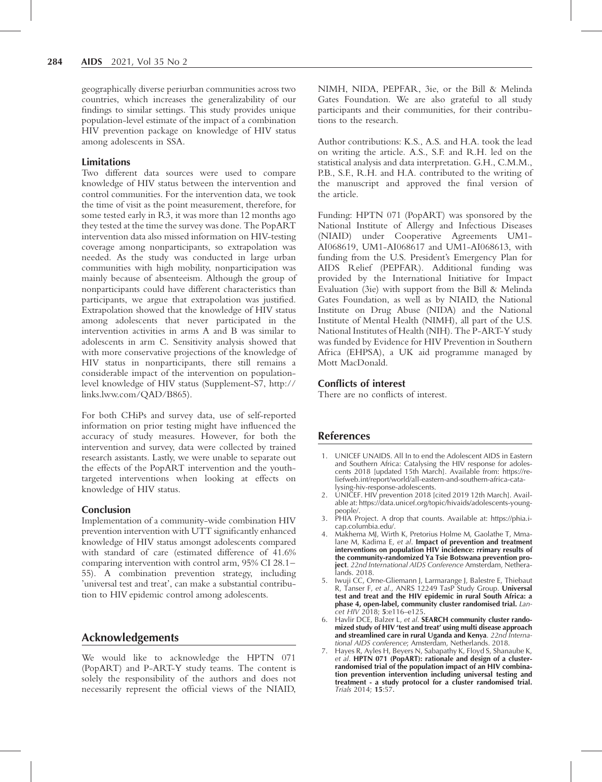geographically diverse periurban communities across two countries, which increases the generalizability of our findings to similar settings. This study provides unique population-level estimate of the impact of a combination HIV prevention package on knowledge of HIV status among adolescents in SSA.

# **Limitations**

Two different data sources were used to compare knowledge of HIV status between the intervention and control communities. For the intervention data, we took the time of visit as the point measurement, therefore, for some tested early in R3, it was more than 12 months ago they tested at the time the survey was done. The PopART intervention data also missed information on HIV-testing coverage among nonparticipants, so extrapolation was needed. As the study was conducted in large urban communities with high mobility, nonparticipation was mainly because of absenteeism. Although the group of nonparticipants could have different characteristics than participants, we argue that extrapolation was justified. Extrapolation showed that the knowledge of HIV status among adolescents that never participated in the intervention activities in arms A and B was similar to adolescents in arm C. Sensitivity analysis showed that with more conservative projections of the knowledge of HIV status in nonparticipants, there still remains a considerable impact of the intervention on populationlevel knowledge of HIV status (Supplement-S7, [http://](http://links.lww.com/QAD/B865) [links.lww.com/QAD/B865](http://links.lww.com/QAD/B865)).

For both CHiPs and survey data, use of self-reported information on prior testing might have influenced the accuracy of study measures. However, for both the intervention and survey, data were collected by trained research assistants. Lastly, we were unable to separate out the effects of the PopART intervention and the youthtargeted interventions when looking at effects on knowledge of HIV status.

# Conclusion

Implementation of a community-wide combination HIV prevention intervention with UTT significantly enhanced knowledge of HIV status amongst adolescents compared with standard of care (estimated difference of 41.6% comparing intervention with control arm, 95% CI 28.1– 55). A combination prevention strategy, including 'universal test and treat', can make a substantial contribution to HIV epidemic control among adolescents.

# Acknowledgements

We would like to acknowledge the HPTN 071 (PopART) and P-ART-Y study teams. The content is solely the responsibility of the authors and does not necessarily represent the official views of the NIAID, NIMH, NIDA, PEPFAR, 3ie, or the Bill & Melinda Gates Foundation. We are also grateful to all study participants and their communities, for their contributions to the research.

Author contributions: K.S., A.S. and H.A. took the lead on writing the article. A.S., S.F. and R.H. led on the statistical analysis and data interpretation. G.H., C.M.M., P.B., S.F., R.H. and H.A. contributed to the writing of the manuscript and approved the final version of the article.

Funding: HPTN 071 (PopART) was sponsored by the National Institute of Allergy and Infectious Diseases (NIAID) under Cooperative Agreements UM1- AI068619, UM1-AI068617 and UM1-AI068613, with funding from the U.S. President's Emergency Plan for AIDS Relief (PEPFAR). Additional funding was provided by the International Initiative for Impact Evaluation (3ie) with support from the Bill & Melinda Gates Foundation, as well as by NIAID, the National Institute on Drug Abuse (NIDA) and the National Institute of Mental Health (NIMH), all part of the U.S. National Institutes of Health (NIH). The P-ART-Y study was funded by Evidence for HIV Prevention in Southern Africa (EHPSA), a UK aid programme managed by Mott MacDonald.

#### Conflicts of interest

There are no conflicts of interest.

# References

- 1. UNICEF UNAIDS. All In to end the Adolescent AIDS in Eastern and Southern Africa: Catalysing the HIV response for adolescents 2018 [updated 15th March]. Available from: [https://re](https://reliefweb.int/report/world/all-eastern-and-southern-africa-catalysing-hiv-response-adolescents)[liefweb.int/report/world/all-eastern-and-southern-africa-cata](https://reliefweb.int/report/world/all-eastern-and-southern-africa-catalysing-hiv-response-adolescents)[lysing-hiv-response-adolescents](https://reliefweb.int/report/world/all-eastern-and-southern-africa-catalysing-hiv-response-adolescents).
- 2. UNICEF. HIV prevention 2018 [cited 2019 12th March]. Available at: [https://data.unicef.org/topic/hivaids/adolescents-young](https://data.unicef.org/topic/hivaids/adolescents-young-people/)[people/.](https://data.unicef.org/topic/hivaids/adolescents-young-people/)
- 3. PHIA Project. A drop that counts. Available at: [https://phia.i](https://phia.icap.columbia.edu/)[cap.columbia.edu/](https://phia.icap.columbia.edu/).
- 4. Makhema MJ, Wirth K, Pretorius Holme M, Gaolathe T, Mmalane M, Kadima E, et al. Impact of prevention and treatment interventions on population HIV incidence: rrimary results of the community-randomized Ya Tsie Botswana prevention project. 22nd International AIDS Conference Amsterdam, Netheralands. 2018.
- 5. Iwuji CC, Orne-Gliemann J, Larmarange J, Balestre E, Thiebaut R, Tanser F, et al., ANRS 12249 TasP Study Group. Universal test and treat and the HIV epidemic in rural South Africa: a phase 4, open-label, community cluster randomised trial. Lancet HIV 2018; 5:e116-e125.
- 6. Havlir DCE, Balzer L, et al. SEARCH community cluster randomized study of HIV 'test and treat' using multi disease approach and streamlined care in rural Uganda and Kenya. 22nd International AIDS conference; Amsterdam, Netherlands. 2018.
- 7. Hayes R, Ayles H, Beyers N, Sabapathy K, Floyd S, Shanaube K, et al. HPTN 071 (PopART): rationale and design of a clusterrandomised trial of the population impact of an HIV combination prevention intervention including universal testing and treatment - a study protocol for a cluster randomised trial. Trials 2014; 15:57.